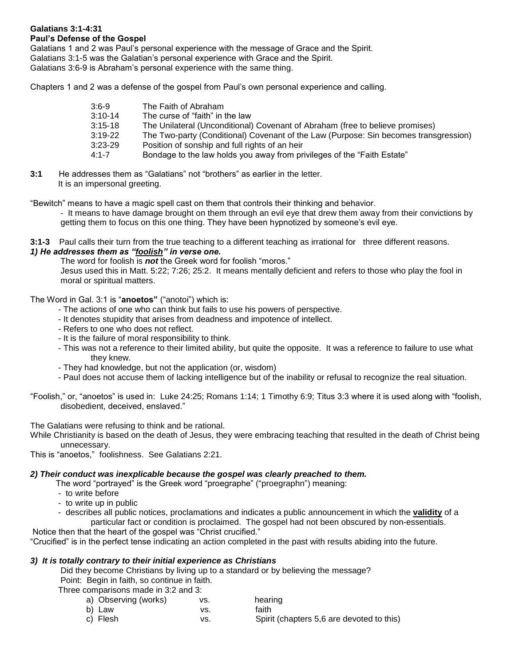# **Galatians 3:1-4:31**

## **Paul's Defense of the Gospel**

Galatians 1 and 2 was Paul's personal experience with the message of Grace and the Spirit.

Galatians 3:1-5 was the Galatian's personal experience with Grace and the Spirit.

Galatians 3:6-9 is Abraham's personal experience with the same thing.

Chapters 1 and 2 was a defense of the gospel from Paul's own personal experience and calling.

| $3:6-9$   | The Faith of Abraham                                                                 |
|-----------|--------------------------------------------------------------------------------------|
| $3:10-14$ | The curse of "faith" in the law                                                      |
| $3:15-18$ | The Unilateral (Unconditional) Covenant of Abraham (free to believe promises)        |
| $3:19-22$ | The Two-party (Conditional) Covenant of the Law (Purpose: Sin becomes transgression) |
| $3:23-29$ | Position of sonship and full rights of an heir                                       |
| $4:1 - 7$ | Bondage to the law holds you away from privileges of the "Faith Estate"              |
|           |                                                                                      |

**3:1** He addresses them as "Galatians" not "brothers" as earlier in the letter. It is an impersonal greeting.

"Bewitch" means to have a magic spell cast on them that controls their thinking and behavior.

- It means to have damage brought on them through an evil eye that drew them away from their convictions by getting them to focus on this one thing. They have been hypnotized by someone's evil eye.

**3:1-3** Paul calls their turn from the true teaching to a different teaching as irrational for three different reasons. *1) He addresses them as "foolish" in verse one.*

The word for foolish is *not* the Greek word for foolish "moros."

Jesus used this in Matt. 5:22; 7:26; 25:2. It means mentally deficient and refers to those who play the fool in moral or spiritual matters.

The Word in Gal. 3:1 is "**anoetos"** ("anotoi") which is:

- The actions of one who can think but fails to use his powers of perspective.
- It denotes stupidity that arises from deadness and impotence of intellect.
- Refers to one who does not reflect.
- It is the failure of moral responsibility to think.
- This was not a reference to their limited ability, but quite the opposite. It was a reference to failure to use what they knew.
- They had knowledge, but not the application (or, wisdom)
- Paul does not accuse them of lacking intelligence but of the inability or refusal to recognize the real situation.
- "Foolish," or, "anoetos" is used in: Luke 24:25; Romans 1:14; 1 Timothy 6:9; Titus 3:3 where it is used along with "foolish, disobedient, deceived, enslaved."

The Galatians were refusing to think and be rational.

While Christianity is based on the death of Jesus, they were embracing teaching that resulted in the death of Christ being unnecessary.

This is "anoetos," foolishness. See Galatians 2:21.

## *2) Their conduct was inexplicable because the gospel was clearly preached to them.*

- The word "portrayed" is the Greek word "proegraphe" ("proegraphn") meaning:
- to write before
- to write up in public
- describes all public notices, proclamations and indicates a public announcement in which the **validity** of a particular fact or condition is proclaimed. The gospel had not been obscured by non-essentials.

Notice then that the heart of the gospel was "Christ crucified."

"Crucified" is in the perfect tense indicating an action completed in the past with results abiding into the future.

## *3) It is totally contrary to their initial experience as Christians*

Did they become Christians by living up to a standard or by believing the message? Point: Begin in faith, so continue in faith.

Three comparisons made in 3:2 and 3:

| a) Observing (works) | VS. | hearing                                   |
|----------------------|-----|-------------------------------------------|
| b) Law               | VS. | faith                                     |
| c) Flesh             | vs. | Spirit (chapters 5,6 are devoted to this) |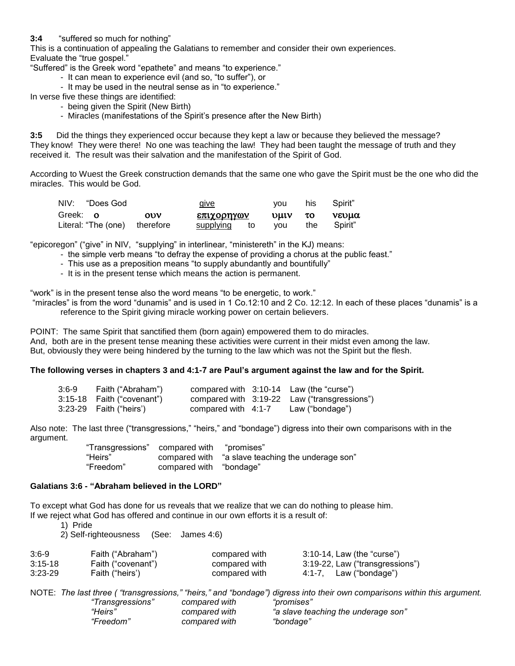## **3:4** "suffered so much for nothing"

This is a continuation of appealing the Galatians to remember and consider their own experiences. Evaluate the "true gospel."

"Suffered" is the Greek word "epathete" and means "to experience."

- It can mean to experience evil (and so, "to suffer"), or
- It may be used in the neutral sense as in "to experience."

In verse five these things are identified:

- being given the Spirit (New Birth)
- Miracles (manifestations of the Spirit's presence after the New Birth)

**3:5** Did the things they experienced occur because they kept a law or because they believed the message? They know! They were there! No one was teaching the law! They had been taught the message of truth and they received it. The result was their salvation and the manifestation of the Spirit of God.

According to Wuest the Greek construction demands that the same one who gave the Spirit must be the one who did the miracles. This would be God.

| NIV: "Does God                |     | give            | vou      | his | Spirit" |  |
|-------------------------------|-----|-----------------|----------|-----|---------|--|
| Greek: 0                      | 00V | επιχορηγων      | $UUV$ to |     | vevua   |  |
| Literal: "The (one) therefore |     | supplying<br>to | vou      | the | Spirit" |  |

"epicoregon" ("give" in NIV, "supplying" in interlinear, "ministereth" in the KJ) means:

- the simple verb means "to defray the expense of providing a chorus at the public feast."
- This use as a preposition means "to supply abundantly and bountifully"
- It is in the present tense which means the action is permanent.

"work" is in the present tense also the word means "to be energetic, to work."

"miracles" is from the word "dunamis" and is used in 1 Co.12:10 and 2 Co. 12:12. In each of these places "dunamis" is a reference to the Spirit giving miracle working power on certain believers.

POINT: The same Spirit that sanctified them (born again) empowered them to do miracles. And, both are in the present tense meaning these activities were current in their midst even among the law. But, obviously they were being hindered by the turning to the law which was not the Spirit but the flesh.

#### **The following verses in chapters 3 and 4:1-7 are Paul's argument against the law and for the Spirit.**

| $3:6-9$ | Faith ("Abraham")          |                       | compared with $3:10-14$ Law (the "curse")    |
|---------|----------------------------|-----------------------|----------------------------------------------|
|         | 3:15-18 Faith ("covenant") |                       | compared with 3:19-22 Law ("transgressions") |
|         | 3:23-29    Faith ("heirs') | compared with $4:1-7$ | Law ("bondage")                              |

Also note: The last three ("transgressions," "heirs," and "bondage") digress into their own comparisons with in the argument.

> "Transgressions" compared with "promises" "Heirs" compared with "a slave teaching the underage son"<br>"Freedom" compared with "bondage" compared with "bondage"

## **Galatians 3:6 - "Abraham believed in the LORD"**

To except what God has done for us reveals that we realize that we can do nothing to please him. If we reject what God has offered and continue in our own efforts it is a result of:

1) Pride

2) Self-righteousness (See: James 4:6)

| $3:6-9$   | Faith ("Abraham")  | compared with |        | 3:10-14, Law (the "curse")      |
|-----------|--------------------|---------------|--------|---------------------------------|
| $3:15-18$ | Faith ("covenant") | compared with |        | 3:19-22, Law ("transgressions") |
| $3:23-29$ | Faith ("heirs")    | compared with | 4:1-7. | Law ("bondage")                 |

NOTE: *The last three ( "transgressions," "heirs," and "bondage") digress into their own comparisons within this argument. "Transgressions" compared with "promises" "Heirs" compared with "a slave teaching the underage son" "Freedom" compared with "bondage"*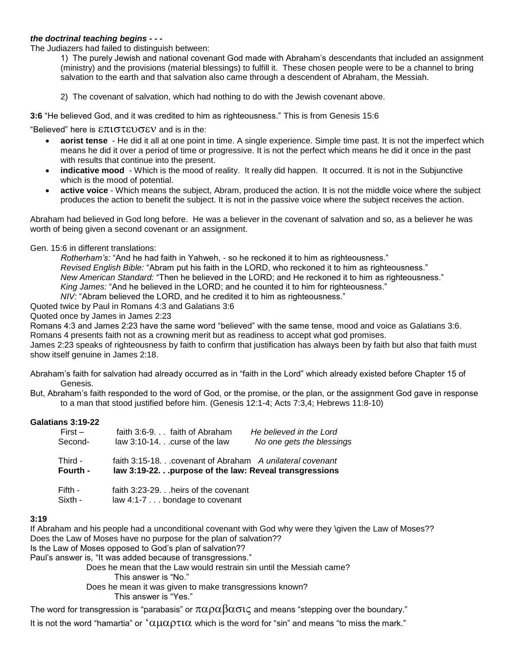## *the doctrinal teaching begins - - -*

The Judiazers had failed to distinguish between:

1) The purely Jewish and national covenant God made with Abraham's descendants that included an assignment (ministry) and the provisions (material blessings) to fulfill it. These chosen people were to be a channel to bring salvation to the earth and that salvation also came through a descendent of Abraham, the Messiah.

2) The covenant of salvation, which had nothing to do with the Jewish covenant above.

**3:6** "He believed God, and it was credited to him as righteousness." This is from Genesis 15:6

"Believed" here is  $\mathcal{E}\pi\mathfrak{1}\sigma\mathfrak{2}\mathfrak{2}\sigma\mathfrak{2}$  and is in the:

- **aorist tense** He did it all at one point in time. A single experience. Simple time past. It is not the imperfect which means he did it over a period of time or progressive. It is not the perfect which means he did it once in the past with results that continue into the present.
- indicative mood Which is the mood of reality. It really did happen. It occurred. It is not in the Subjunctive which is the mood of potential.
- **active voice** Which means the subject, Abram, produced the action. It is not the middle voice where the subject produces the action to benefit the subject. It is not in the passive voice where the subject receives the action.

Abraham had believed in God long before. He was a believer in the covenant of salvation and so, as a believer he was worth of being given a second covenant or an assignment.

#### Gen. 15:6 in different translations:

*Rotherham's:* "And he had faith in Yahweh, - so he reckoned it to him as righteousness." *Revised English Bible:* "Abram put his faith in the LORD, who reckoned it to him as righteousness." *New American Standard:* "Then he believed in the LORD; and He reckoned it to him as righteousness." *King James:* "And he believed in the LORD; and he counted it to him for righteousness." *NIV:* "Abram believed the LORD, and he credited it to him as righteousness."

Quoted twice by Paul in Romans 4:3 and Galatians 3:6

Quoted once by James in James 2:23

Romans 4:3 and James 2:23 have the same word "believed" with the same tense, mood and voice as Galatians 3:6. Romans 4 presents faith not as a crowning merit but as readiness to accept what god promises.

James 2:23 speaks of righteousness by faith to confirm that justification has always been by faith but also that faith must show itself genuine in James 2:18.

Abraham's faith for salvation had already occurred as in "faith in the Lord" which already existed before Chapter 15 of Genesis.

But, Abraham's faith responded to the word of God, or the promise, or the plan, or the assignment God gave in response to a man that stood justified before him. (Genesis 12:1-4; Acts 7:3,4; Hebrews 11:8-10)

#### **Galatians 3:19-22**

| $First -$ | faith 3:6-9. faith of Abraham<br>He believed in the Lord    |
|-----------|-------------------------------------------------------------|
| Second-   | law $3:10-14$ curse of the law<br>No one gets the blessings |
| Third -   | faith 3:15-18. covenant of Abraham A unilateral covenant    |
| Fourth -  | law 3:19-22. purpose of the law: Reveal transgressions      |
| Fifth -   | faith 3:23-29. heirs of the covenant                        |
| Sixth -   | law 4:1-7 bondage to covenant                               |

#### **3:19**

If Abraham and his people had a unconditional covenant with God why were they \given the Law of Moses?? Does the Law of Moses have no purpose for the plan of salvation??

Is the Law of Moses opposed to God's plan of salvation??

Paul's answer is, "It was added because of transgressions."

Does he mean that the Law would restrain sin until the Messiah came?

This answer is "No."

Does he mean it was given to make transgressions known?

This answer is "Yes."

The word for transgression is "parabasis" or  $\pi\alpha\rho\alpha\beta\alpha\sigma\iota\zeta$  and means "stepping over the boundary."

It is not the word "hamartia" or  $\alpha\mu\alpha\rho\tau\iota\alpha$  which is the word for "sin" and means "to miss the mark."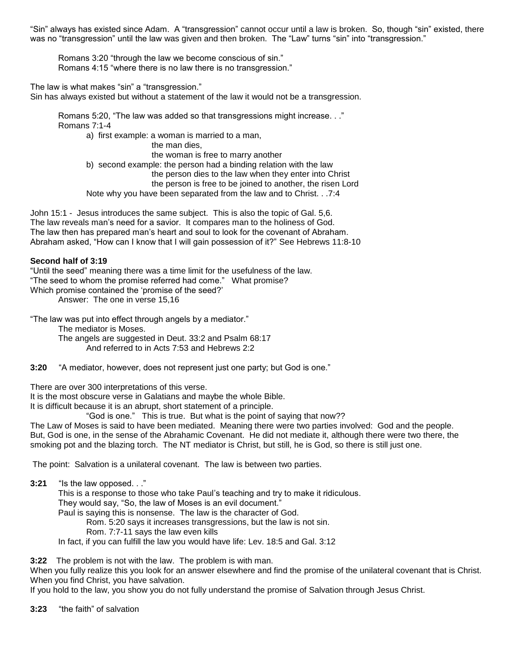"Sin" always has existed since Adam. A "transgression" cannot occur until a law is broken. So, though "sin" existed, there was no "transgression" until the law was given and then broken. The "Law" turns "sin" into "transgression."

 Romans 3:20 "through the law we become conscious of sin." Romans 4:15 "where there is no law there is no transgression."

The law is what makes "sin" a "transgression."

Sin has always existed but without a statement of the law it would not be a transgression.

 Romans 5:20, "The law was added so that transgressions might increase. . ." Romans 7:1-4

 a) first example: a woman is married to a man, the man dies, the woman is free to marry another b) second example: the person had a binding relation with the law the person dies to the law when they enter into Christ the person is free to be joined to another, the risen Lord Note why you have been separated from the law and to Christ. . .7:4

John 15:1 - Jesus introduces the same subject. This is also the topic of Gal. 5,6. The law reveals man's need for a savior. It compares man to the holiness of God. The law then has prepared man's heart and soul to look for the covenant of Abraham. Abraham asked, "How can I know that I will gain possession of it?" See Hebrews 11:8-10

## **Second half of 3:19**

"Until the seed" meaning there was a time limit for the usefulness of the law. "The seed to whom the promise referred had come." What promise? Which promise contained the 'promise of the seed?'

Answer: The one in verse 15,16

"The law was put into effect through angels by a mediator."

The mediator is Moses.

 The angels are suggested in Deut. 33:2 and Psalm 68:17 And referred to in Acts 7:53 and Hebrews 2:2

**3:20** "A mediator, however, does not represent just one party; but God is one."

There are over 300 interpretations of this verse.

It is the most obscure verse in Galatians and maybe the whole Bible.

It is difficult because it is an abrupt, short statement of a principle.

"God is one." This is true. But what is the point of saying that now??

The Law of Moses is said to have been mediated. Meaning there were two parties involved: God and the people. But, God is one, in the sense of the Abrahamic Covenant. He did not mediate it, although there were two there, the smoking pot and the blazing torch. The NT mediator is Christ, but still, he is God, so there is still just one.

The point: Salvation is a unilateral covenant. The law is between two parties.

**3:21** "Is the law opposed. . ."

 This is a response to those who take Paul's teaching and try to make it ridiculous. They would say, "So, the law of Moses is an evil document." Paul is saying this is nonsense. The law is the character of God. Rom. 5:20 says it increases transgressions, but the law is not sin. Rom. 7:7-11 says the law even kills In fact, if you can fulfill the law you would have life: Lev. 18:5 and Gal. 3:12

**3:22** The problem is not with the law. The problem is with man.

When you fully realize this you look for an answer elsewhere and find the promise of the unilateral covenant that is Christ. When you find Christ, you have salvation.

If you hold to the law, you show you do not fully understand the promise of Salvation through Jesus Christ.

**3:23** "the faith" of salvation